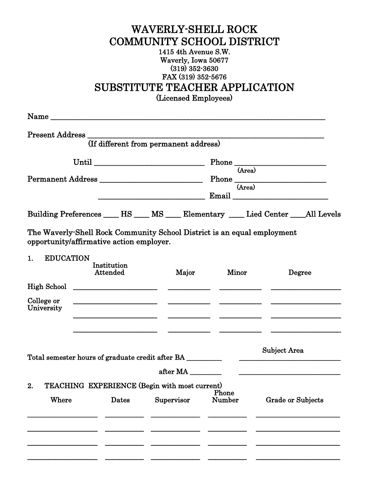## WAVERLY-SHELL ROCK COMMUNITY SCHOOL DISTRICT 1415 4th Avenue S.W. Waverly, Iowa 50677 (319) 352-3630 FAX (319) 352-5676 SUBSTITUTE TEACHER APPLICATION (Licensed Employees)

|                                                  | (If different from permanent address)                                                                                                                                                                                                |  |            |        |                                                                      |              |                                                                                                                      |  |
|--------------------------------------------------|--------------------------------------------------------------------------------------------------------------------------------------------------------------------------------------------------------------------------------------|--|------------|--------|----------------------------------------------------------------------|--------------|----------------------------------------------------------------------------------------------------------------------|--|
| Permanent Address                                |                                                                                                                                                                                                                                      |  |            |        | $\overline{(Area)}$<br>$\underbrace{\hbox{Phone}\over\hbox{(Area)}}$ |              |                                                                                                                      |  |
|                                                  | Building Preferences ______ HS _____ MS _____ Elementary _____ Lied Center ____All Levels                                                                                                                                            |  |            |        |                                                                      |              |                                                                                                                      |  |
|                                                  | The Waverly-Shell Rock Community School District is an equal employment<br>opportunity/affirmative action employer.                                                                                                                  |  |            |        |                                                                      |              |                                                                                                                      |  |
| <b>EDUCATION</b><br>1.                           | Institution<br>Attended                                                                                                                                                                                                              |  | Major      | Minor  |                                                                      | Degree       |                                                                                                                      |  |
|                                                  | $High School \t$                                                                                                                                                                                                                     |  |            |        |                                                                      |              |                                                                                                                      |  |
| College or<br>University                         | <u> 1980 - Jan Stein Stein Stein Stein Stein Stein Stein Stein Stein Stein Stein Stein Stein Stein Stein Stein Stein Stein Stein Stein Stein Stein Stein Stein Stein Stein Stein Stein Stein Stein Stein Stein Stein Stein Stein</u> |  |            |        |                                                                      |              |                                                                                                                      |  |
| Total semester hours of graduate credit after BA |                                                                                                                                                                                                                                      |  |            |        |                                                                      | Subject Area |                                                                                                                      |  |
|                                                  |                                                                                                                                                                                                                                      |  | after MA   |        |                                                                      |              | <u> Alexandria de la contrada de la contrada de la contrada de la contrada de la contrada de la contrada de la c</u> |  |
| 2.                                               | TEACHING EXPERIENCE (Begin with most current)                                                                                                                                                                                        |  |            | Phone  |                                                                      |              |                                                                                                                      |  |
| Where                                            | Dates                                                                                                                                                                                                                                |  | Supervisor | Number |                                                                      |              | <b>Grade or Subjects</b>                                                                                             |  |
|                                                  |                                                                                                                                                                                                                                      |  |            |        |                                                                      |              |                                                                                                                      |  |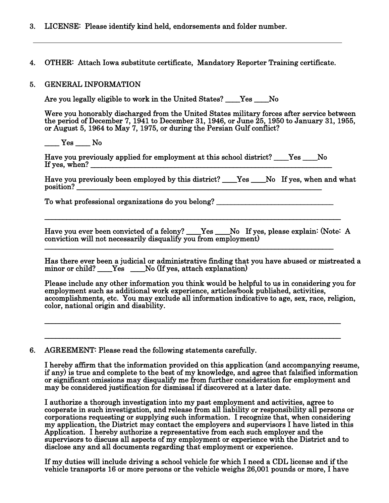- 3. LICENSE: Please identify kind held, endorsements and folder number.
- 4. OTHER: Attach Iowa substitute certificate, Mandatory Reporter Training certificate.

## 5. GENERAL INFORMATION

Are you legally eligible to work in the United States? \_\_\_\_Yes \_\_\_\_ No

 Were you honorably discharged from the United States military forces after service between the period of December 7, 1941 to December 31, 1946, or June 25, 1950 to January 31, 1955, or August 5, 1964 to May 7, 1975, or during the Persian Gulf conflict?

\_\_\_\_ Yes \_\_\_\_ No Have you previously applied for employment at this school district? \_\_\_\_Yes \_\_\_\_No If yes, when? \_\_\_\_\_\_\_\_\_\_\_\_\_\_\_\_\_\_\_\_\_\_\_\_\_\_\_\_\_\_\_\_\_\_\_\_\_\_\_\_\_\_\_\_\_\_\_\_\_\_\_\_\_\_\_\_\_\_\_\_\_\_\_\_\_\_

\_\_\_\_\_\_\_\_\_\_\_\_\_\_\_\_\_\_\_\_\_\_\_\_\_\_\_\_\_\_\_\_\_\_\_\_\_\_\_\_\_\_\_\_\_\_\_\_\_\_\_\_\_\_\_\_\_\_\_\_\_\_\_\_\_\_\_\_\_\_\_\_\_\_\_\_\_\_\_\_\_

Have you previously been employed by this district? \_\_\_\_Yes \_\_\_No If yes, when and what position? \_\_\_\_\_\_\_\_\_\_\_\_\_\_\_\_\_\_\_\_\_\_\_\_\_\_\_\_\_\_\_\_\_\_\_\_\_\_\_\_\_\_\_\_\_\_\_\_\_\_\_\_\_\_\_\_\_\_\_\_\_\_\_\_\_\_\_

To what professional organizations do you belong? \_\_\_\_\_\_\_\_\_\_\_\_\_\_\_\_\_\_\_\_\_\_\_\_\_\_\_\_\_\_

Have you ever been convicted of a felony? \_\_\_\_Yes \_\_\_\_No If yes, please explain: (Note: A conviction will not necessarily disqualify you from employment) \_\_\_\_\_\_\_\_\_\_\_\_\_\_\_\_\_\_\_\_\_\_\_\_\_\_\_\_\_\_\_\_\_\_\_\_\_\_\_\_\_\_\_\_\_\_\_\_\_\_\_\_\_\_\_\_\_\_\_\_\_\_\_\_\_\_\_\_\_\_\_\_\_\_\_\_\_\_\_

Has there ever been a judicial or administrative finding that you have abused or mistreated a minor or child? Nes Research Mo (If yes, attach explanation)

Please include any other information you think would be helpful to us in considering you for employment such as additional work experience, articles/book published, activities, accomplishments, etc. You may exclude all information indicative to age, sex, race, religion, color, national origin and disability.

\_\_\_\_\_\_\_\_\_\_\_\_\_\_\_\_\_\_\_\_\_\_\_\_\_\_\_\_\_\_\_\_\_\_\_\_\_\_\_\_\_\_\_\_\_\_\_\_\_\_\_\_\_\_\_\_\_\_\_\_\_\_\_\_\_\_\_\_\_\_\_\_\_\_\_\_\_\_\_\_\_

\_\_\_\_\_\_\_\_\_\_\_\_\_\_\_\_\_\_\_\_\_\_\_\_\_\_\_\_\_\_\_\_\_\_\_\_\_\_\_\_\_\_\_\_\_\_\_\_\_\_\_\_\_\_\_\_\_\_\_\_\_\_\_\_\_\_\_\_\_\_\_\_\_\_\_\_\_\_\_\_\_

6. AGREEMENT: Please read the following statements carefully.

I hereby affirm that the information provided on this application (and accompanying resume, if any) is true and complete to the best of my knowledge, and agree that falsified information or significant omissions may disqualify me from further consideration for employment and may be considered justification for dismissal if discovered at a later date.

I authorize a thorough investigation into my past employment and activities, agree to cooperate in such investigation, and release from all liability or responsibility all persons or corporations requesting or supplying such information. I recognize that, when considering my application, the District may contact the employers and supervisors I have listed in this Application. I hereby authorize a representative from each such employer and the supervisors to discuss all aspects of my employment or experience with the District and to disclose any and all documents regarding that employment or experience.

If my duties will include driving a school vehicle for which I need a CDL license and if the vehicle transports 16 or more persons or the vehicle weighs 26,001 pounds or more, I have